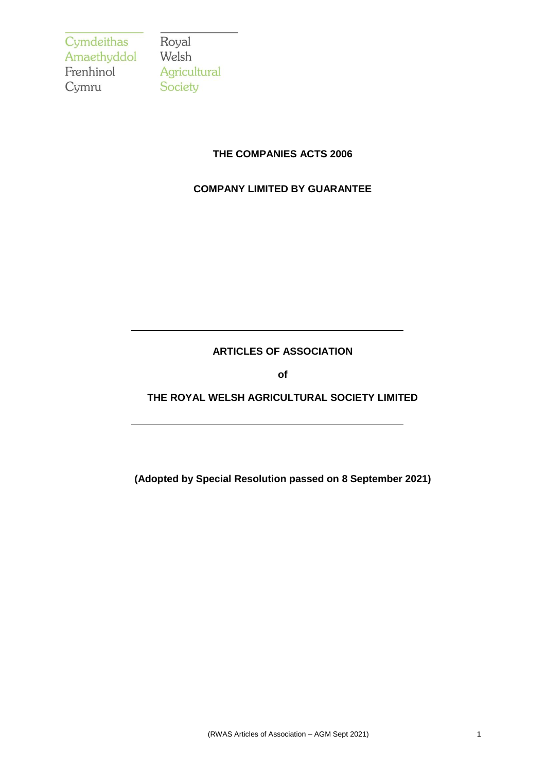Cymdeithas<br>Amaethyddol Welsh Frenhinol Cymru

Agricultural Society

## **THE COMPANIES ACTS 2006**

# **COMPANY LIMITED BY GUARANTEE**

## **ARTICLES OF ASSOCIATION**

**of**

# **THE ROYAL WELSH AGRICULTURAL SOCIETY LIMITED**

**(Adopted by Special Resolution passed on 8 September 2021)**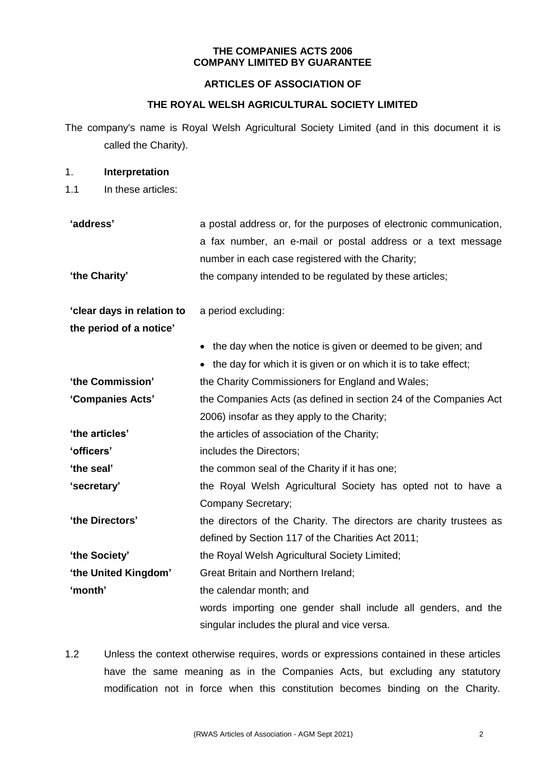### **THE COMPANIES ACTS 2006 COMPANY LIMITED BY GUARANTEE**

## **ARTICLES OF ASSOCIATION OF**

# **THE ROYAL WELSH AGRICULTURAL SOCIETY LIMITED**

The company's name is Royal Welsh Agricultural Society Limited (and in this document it is called the Charity).

#### 1. **Interpretation**

1.1 In these articles:

**'address'** a postal address or, for the purposes of electronic communication, a fax number, an e-mail or postal address or a text message number in each case registered with the Charity; **'the Charity'** the company intended to be regulated by these articles;

**'clear days in relation to**  a period excluding:

**the period of a notice'**

|                      | • the day when the notice is given or deemed to be given; and       |
|----------------------|---------------------------------------------------------------------|
|                      | • the day for which it is given or on which it is to take effect;   |
| 'the Commission'     | the Charity Commissioners for England and Wales;                    |
| 'Companies Acts'     | the Companies Acts (as defined in section 24 of the Companies Act   |
|                      | 2006) insofar as they apply to the Charity;                         |
| 'the articles'       | the articles of association of the Charity;                         |
| 'officers'           | includes the Directors;                                             |
| 'the seal'           | the common seal of the Charity if it has one;                       |
| 'secretary'          | the Royal Welsh Agricultural Society has opted not to have a        |
|                      | Company Secretary;                                                  |
| 'the Directors'      | the directors of the Charity. The directors are charity trustees as |
|                      | defined by Section 117 of the Charities Act 2011;                   |
| 'the Society'        | the Royal Welsh Agricultural Society Limited;                       |
| 'the United Kingdom' | <b>Great Britain and Northern Ireland;</b>                          |

**'month'** the calendar month; and

words importing one gender shall include all genders, and the singular includes the plural and vice versa.

1.2 Unless the context otherwise requires, words or expressions contained in these articles have the same meaning as in the Companies Acts, but excluding any statutory modification not in force when this constitution becomes binding on the Charity.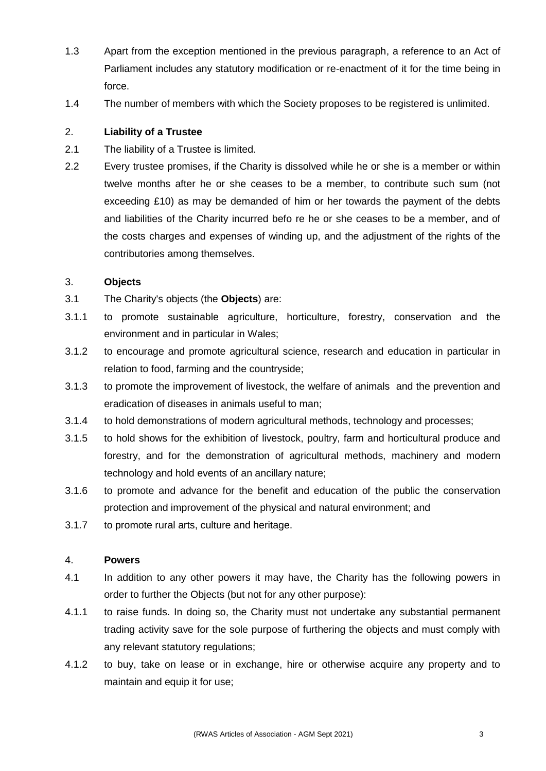- 1.3 Apart from the exception mentioned in the previous paragraph, a reference to an Act of Parliament includes any statutory modification or re-enactment of it for the time being in force.
- 1.4 The number of members with which the Society proposes to be registered is unlimited.

# 2. **Liability of a Trustee**

- 2.1 The liability of a Trustee is limited.
- 2.2 Every trustee promises, if the Charity is dissolved while he or she is a member or within twelve months after he or she ceases to be a member, to contribute such sum (not exceeding £10) as may be demanded of him or her towards the payment of the debts and liabilities of the Charity incurred befo re he or she ceases to be a member, and of the costs charges and expenses of winding up, and the adjustment of the rights of the contributories among themselves.

### 3. **Objects**

- 3.1 The Charity's objects (the **Objects**) are:
- 3.1.1 to promote sustainable agriculture, horticulture, forestry, conservation and the environment and in particular in Wales;
- 3.1.2 to encourage and promote agricultural science, research and education in particular in relation to food, farming and the countryside;
- 3.1.3 to promote the improvement of livestock, the welfare of animals and the prevention and eradication of diseases in animals useful to man;
- 3.1.4 to hold demonstrations of modern agricultural methods, technology and processes;
- 3.1.5 to hold shows for the exhibition of livestock, poultry, farm and horticultural produce and forestry, and for the demonstration of agricultural methods, machinery and modern technology and hold events of an ancillary nature;
- 3.1.6 to promote and advance for the benefit and education of the public the conservation protection and improvement of the physical and natural environment; and
- 3.1.7 to promote rural arts, culture and heritage.

### 4. **Powers**

- 4.1 In addition to any other powers it may have, the Charity has the following powers in order to further the Objects (but not for any other purpose):
- 4.1.1 to raise funds. In doing so, the Charity must not undertake any substantial permanent trading activity save for the sole purpose of furthering the objects and must comply with any relevant statutory regulations;
- 4.1.2 to buy, take on lease or in exchange, hire or otherwise acquire any property and to maintain and equip it for use;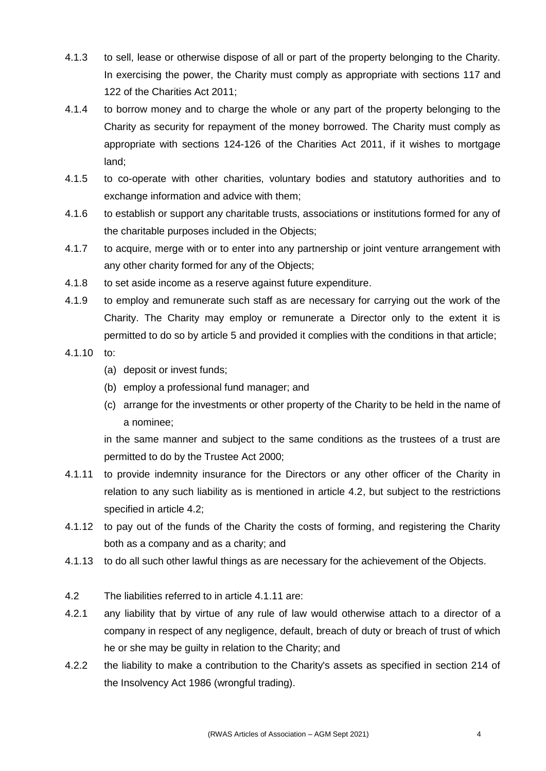- 4.1.3 to sell, lease or otherwise dispose of all or part of the property belonging to the Charity. In exercising the power, the Charity must comply as appropriate with sections 117 and 122 of the Charities Act 2011;
- 4.1.4 to borrow money and to charge the whole or any part of the property belonging to the Charity as security for repayment of the money borrowed. The Charity must comply as appropriate with sections 124-126 of the Charities Act 2011, if it wishes to mortgage land;
- 4.1.5 to co-operate with other charities, voluntary bodies and statutory authorities and to exchange information and advice with them;
- 4.1.6 to establish or support any charitable trusts, associations or institutions formed for any of the charitable purposes included in the Objects;
- 4.1.7 to acquire, merge with or to enter into any partnership or joint venture arrangement with any other charity formed for any of the Objects;
- 4.1.8 to set aside income as a reserve against future expenditure.
- 4.1.9 to employ and remunerate such staff as are necessary for carrying out the work of the Charity. The Charity may employ or remunerate a Director only to the extent it is permitted to do so by article 5 and provided it complies with the conditions in that article;
- 4.1.10 to:
	- (a) deposit or invest funds;
	- (b) employ a professional fund manager; and
	- (c) arrange for the investments or other property of the Charity to be held in the name of a nominee;

in the same manner and subject to the same conditions as the trustees of a trust are permitted to do by the Trustee Act 2000;

- 4.1.11 to provide indemnity insurance for the Directors or any other officer of the Charity in relation to any such liability as is mentioned in article 4.2, but subject to the restrictions specified in article 4.2;
- 4.1.12 to pay out of the funds of the Charity the costs of forming, and registering the Charity both as a company and as a charity; and
- 4.1.13 to do all such other lawful things as are necessary for the achievement of the Objects.
- 4.2 The liabilities referred to in article 4.1.11 are:
- 4.2.1 any liability that by virtue of any rule of law would otherwise attach to a director of a company in respect of any negligence, default, breach of duty or breach of trust of which he or she may be guilty in relation to the Charity; and
- 4.2.2 the liability to make a contribution to the Charity's assets as specified in section 214 of the Insolvency Act 1986 (wrongful trading).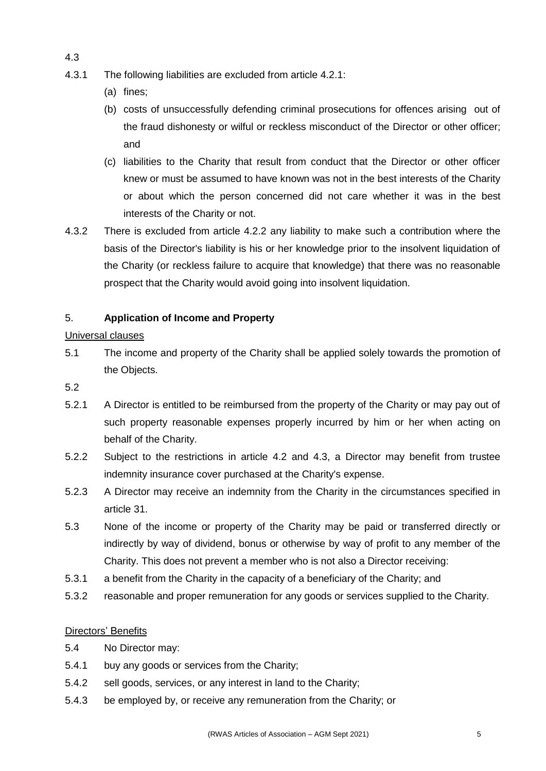- 4.3.1 The following liabilities are excluded from article 4.2.1:
	- (a) fines;

4.3

- (b) costs of unsuccessfully defending criminal prosecutions for offences arising out of the fraud dishonesty or wilful or reckless misconduct of the Director or other officer; and
- (c) liabilities to the Charity that result from conduct that the Director or other officer knew or must be assumed to have known was not in the best interests of the Charity or about which the person concerned did not care whether it was in the best interests of the Charity or not.
- 4.3.2 There is excluded from article 4.2.2 any liability to make such a contribution where the basis of the Director's liability is his or her knowledge prior to the insolvent liquidation of the Charity (or reckless failure to acquire that knowledge) that there was no reasonable prospect that the Charity would avoid going into insolvent liquidation.

# 5. **Application of Income and Property**

# Universal clauses

- 5.1 The income and property of the Charity shall be applied solely towards the promotion of the Objects.
- 5.2
- 5.2.1 A Director is entitled to be reimbursed from the property of the Charity or may pay out of such property reasonable expenses properly incurred by him or her when acting on behalf of the Charity.
- 5.2.2 Subject to the restrictions in article 4.2 and 4.3, a Director may benefit from trustee indemnity insurance cover purchased at the Charity's expense.
- 5.2.3 A Director may receive an indemnity from the Charity in the circumstances specified in article 31.
- 5.3 None of the income or property of the Charity may be paid or transferred directly or indirectly by way of dividend, bonus or otherwise by way of profit to any member of the Charity. This does not prevent a member who is not also a Director receiving:
- 5.3.1 a benefit from the Charity in the capacity of a beneficiary of the Charity; and
- 5.3.2 reasonable and proper remuneration for any goods or services supplied to the Charity.

### Directors' Benefits

- 5.4 No Director may:
- 5.4.1 buy any goods or services from the Charity;
- 5.4.2 sell goods, services, or any interest in land to the Charity;
- 5.4.3 be employed by, or receive any remuneration from the Charity; or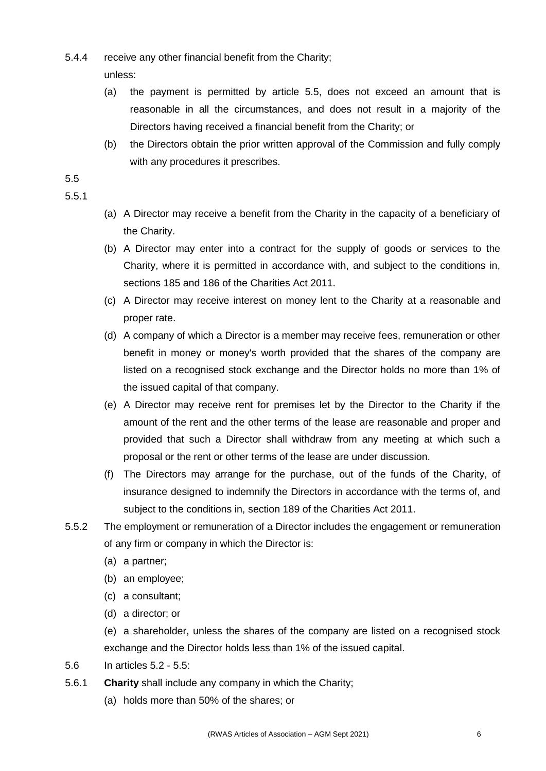- 5.4.4 receive any other financial benefit from the Charity;
	- unless:
	- (a) the payment is permitted by article 5.5, does not exceed an amount that is reasonable in all the circumstances, and does not result in a majority of the Directors having received a financial benefit from the Charity; or
	- (b) the Directors obtain the prior written approval of the Commission and fully comply with any procedures it prescribes.

## 5.5

## 5.5.1

- (a) A Director may receive a benefit from the Charity in the capacity of a beneficiary of the Charity.
- (b) A Director may enter into a contract for the supply of goods or services to the Charity, where it is permitted in accordance with, and subject to the conditions in, sections 185 and 186 of the Charities Act 2011.
- (c) A Director may receive interest on money lent to the Charity at a reasonable and proper rate.
- (d) A company of which a Director is a member may receive fees, remuneration or other benefit in money or money's worth provided that the shares of the company are listed on a recognised stock exchange and the Director holds no more than 1% of the issued capital of that company.
- (e) A Director may receive rent for premises let by the Director to the Charity if the amount of the rent and the other terms of the lease are reasonable and proper and provided that such a Director shall withdraw from any meeting at which such a proposal or the rent or other terms of the lease are under discussion.
- (f) The Directors may arrange for the purchase, out of the funds of the Charity, of insurance designed to indemnify the Directors in accordance with the terms of, and subject to the conditions in, section 189 of the Charities Act 2011.
- 5.5.2 The employment or remuneration of a Director includes the engagement or remuneration of any firm or company in which the Director is:
	- (a) a partner;
	- (b) an employee;
	- (c) a consultant;
	- (d) a director; or

(e) a shareholder, unless the shares of the company are listed on a recognised stock exchange and the Director holds less than 1% of the issued capital.

- 5.6 In articles 5.2 5.5:
- 5.6.1 **Charity** shall include any company in which the Charity;
	- (a) holds more than 50% of the shares; or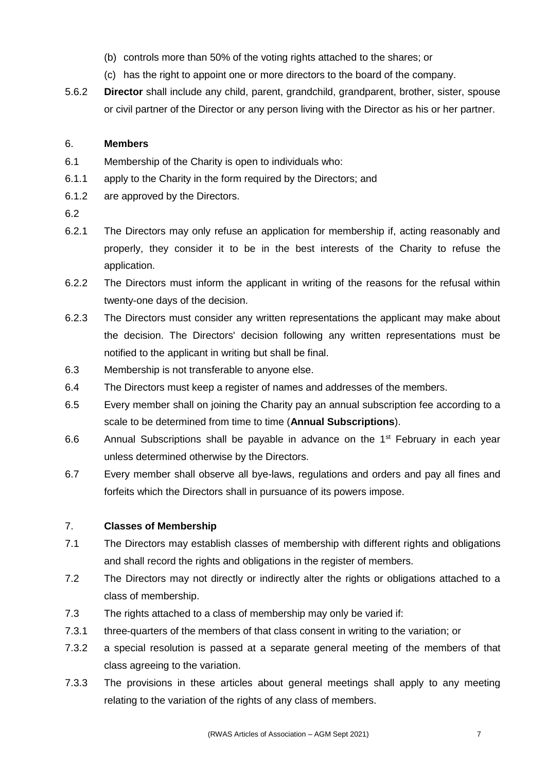- (b) controls more than 50% of the voting rights attached to the shares; or
- (c) has the right to appoint one or more directors to the board of the company.
- 5.6.2 **Director** shall include any child, parent, grandchild, grandparent, brother, sister, spouse or civil partner of the Director or any person living with the Director as his or her partner.

# 6. **Members**

- 6.1 Membership of the Charity is open to individuals who:
- 6.1.1 apply to the Charity in the form required by the Directors; and
- 6.1.2 are approved by the Directors.
- 6.2
- 6.2.1 The Directors may only refuse an application for membership if, acting reasonably and properly, they consider it to be in the best interests of the Charity to refuse the application.
- 6.2.2 The Directors must inform the applicant in writing of the reasons for the refusal within twenty-one days of the decision.
- 6.2.3 The Directors must consider any written representations the applicant may make about the decision. The Directors' decision following any written representations must be notified to the applicant in writing but shall be final.
- 6.3 Membership is not transferable to anyone else.
- 6.4 The Directors must keep a register of names and addresses of the members.
- 6.5 Every member shall on joining the Charity pay an annual subscription fee according to a scale to be determined from time to time (**Annual Subscriptions**).
- 6.6 Annual Subscriptions shall be payable in advance on the  $1<sup>st</sup>$  February in each year unless determined otherwise by the Directors.
- 6.7 Every member shall observe all bye-laws, regulations and orders and pay all fines and forfeits which the Directors shall in pursuance of its powers impose.

# 7. **Classes of Membership**

- 7.1 The Directors may establish classes of membership with different rights and obligations and shall record the rights and obligations in the register of members.
- 7.2 The Directors may not directly or indirectly alter the rights or obligations attached to a class of membership.
- 7.3 The rights attached to a class of membership may only be varied if:
- 7.3.1 three-quarters of the members of that class consent in writing to the variation; or
- 7.3.2 a special resolution is passed at a separate general meeting of the members of that class agreeing to the variation.
- 7.3.3 The provisions in these articles about general meetings shall apply to any meeting relating to the variation of the rights of any class of members.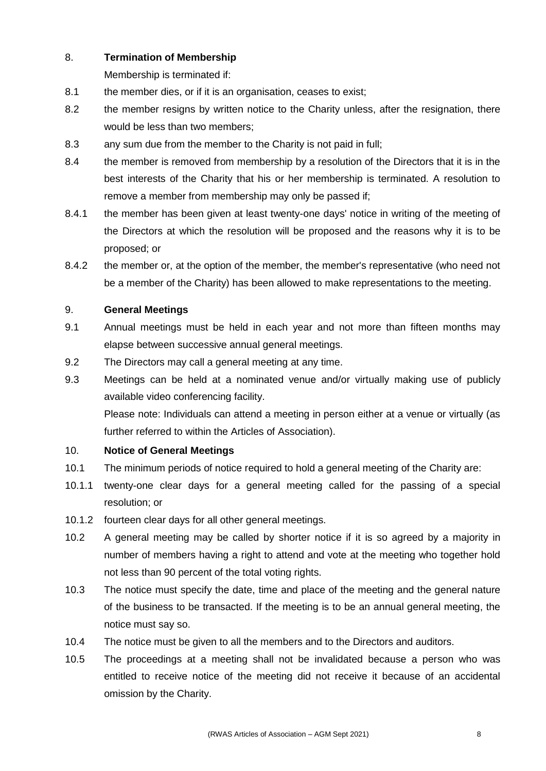## 8. **Termination of Membership**

Membership is terminated if:

- 8.1 the member dies, or if it is an organisation, ceases to exist;
- 8.2 the member resigns by written notice to the Charity unless, after the resignation, there would be less than two members;
- 8.3 any sum due from the member to the Charity is not paid in full;
- 8.4 the member is removed from membership by a resolution of the Directors that it is in the best interests of the Charity that his or her membership is terminated. A resolution to remove a member from membership may only be passed if;
- 8.4.1 the member has been given at least twenty-one days' notice in writing of the meeting of the Directors at which the resolution will be proposed and the reasons why it is to be proposed; or
- 8.4.2 the member or, at the option of the member, the member's representative (who need not be a member of the Charity) has been allowed to make representations to the meeting.

## 9. **General Meetings**

- 9.1 Annual meetings must be held in each year and not more than fifteen months may elapse between successive annual general meetings.
- 9.2 The Directors may call a general meeting at any time.
- 9.3 Meetings can be held at a nominated venue and/or virtually making use of publicly available video conferencing facility.

Please note: Individuals can attend a meeting in person either at a venue or virtually (as further referred to within the Articles of Association).

### 10. **Notice of General Meetings**

- 10.1 The minimum periods of notice required to hold a general meeting of the Charity are:
- 10.1.1 twenty-one clear days for a general meeting called for the passing of a special resolution; or
- 10.1.2 fourteen clear days for all other general meetings.
- 10.2 A general meeting may be called by shorter notice if it is so agreed by a majority in number of members having a right to attend and vote at the meeting who together hold not less than 90 percent of the total voting rights.
- 10.3 The notice must specify the date, time and place of the meeting and the general nature of the business to be transacted. If the meeting is to be an annual general meeting, the notice must say so.
- 10.4 The notice must be given to all the members and to the Directors and auditors.
- 10.5 The proceedings at a meeting shall not be invalidated because a person who was entitled to receive notice of the meeting did not receive it because of an accidental omission by the Charity.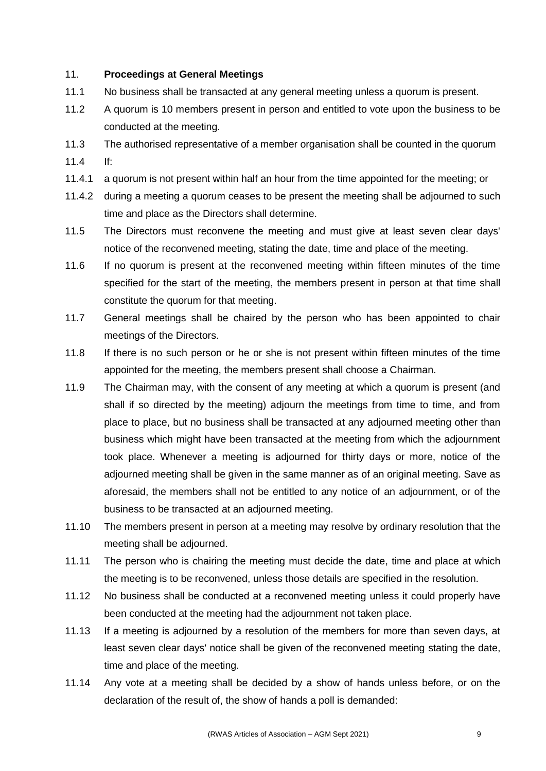## 11. **Proceedings at General Meetings**

- 11.1 No business shall be transacted at any general meeting unless a quorum is present.
- 11.2 A quorum is 10 members present in person and entitled to vote upon the business to be conducted at the meeting.
- 11.3 The authorised representative of a member organisation shall be counted in the quorum 11.4 If:
- 11.4.1 a quorum is not present within half an hour from the time appointed for the meeting; or
- 11.4.2 during a meeting a quorum ceases to be present the meeting shall be adjourned to such time and place as the Directors shall determine.
- 11.5 The Directors must reconvene the meeting and must give at least seven clear days' notice of the reconvened meeting, stating the date, time and place of the meeting.
- 11.6 If no quorum is present at the reconvened meeting within fifteen minutes of the time specified for the start of the meeting, the members present in person at that time shall constitute the quorum for that meeting.
- 11.7 General meetings shall be chaired by the person who has been appointed to chair meetings of the Directors.
- 11.8 If there is no such person or he or she is not present within fifteen minutes of the time appointed for the meeting, the members present shall choose a Chairman.
- 11.9 The Chairman may, with the consent of any meeting at which a quorum is present (and shall if so directed by the meeting) adjourn the meetings from time to time, and from place to place, but no business shall be transacted at any adjourned meeting other than business which might have been transacted at the meeting from which the adjournment took place. Whenever a meeting is adjourned for thirty days or more, notice of the adjourned meeting shall be given in the same manner as of an original meeting. Save as aforesaid, the members shall not be entitled to any notice of an adjournment, or of the business to be transacted at an adjourned meeting.
- 11.10 The members present in person at a meeting may resolve by ordinary resolution that the meeting shall be adjourned.
- 11.11 The person who is chairing the meeting must decide the date, time and place at which the meeting is to be reconvened, unless those details are specified in the resolution.
- 11.12 No business shall be conducted at a reconvened meeting unless it could properly have been conducted at the meeting had the adjournment not taken place.
- 11.13 If a meeting is adjourned by a resolution of the members for more than seven days, at least seven clear days' notice shall be given of the reconvened meeting stating the date, time and place of the meeting.
- 11.14 Any vote at a meeting shall be decided by a show of hands unless before, or on the declaration of the result of, the show of hands a poll is demanded: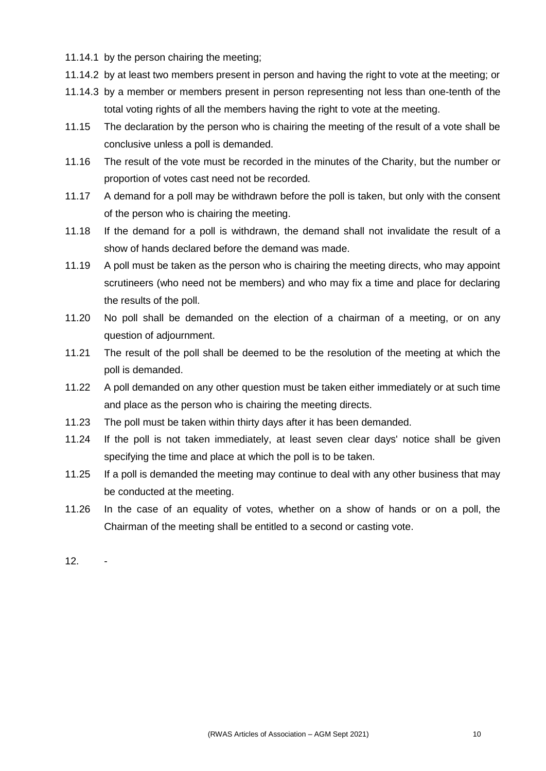- 11.14.1 by the person chairing the meeting;
- 11.14.2 by at least two members present in person and having the right to vote at the meeting; or
- 11.14.3 by a member or members present in person representing not less than one-tenth of the total voting rights of all the members having the right to vote at the meeting.
- 11.15 The declaration by the person who is chairing the meeting of the result of a vote shall be conclusive unless a poll is demanded.
- 11.16 The result of the vote must be recorded in the minutes of the Charity, but the number or proportion of votes cast need not be recorded.
- 11.17 A demand for a poll may be withdrawn before the poll is taken, but only with the consent of the person who is chairing the meeting.
- 11.18 If the demand for a poll is withdrawn, the demand shall not invalidate the result of a show of hands declared before the demand was made.
- 11.19 A poll must be taken as the person who is chairing the meeting directs, who may appoint scrutineers (who need not be members) and who may fix a time and place for declaring the results of the poll.
- 11.20 No poll shall be demanded on the election of a chairman of a meeting, or on any question of adjournment.
- 11.21 The result of the poll shall be deemed to be the resolution of the meeting at which the poll is demanded.
- 11.22 A poll demanded on any other question must be taken either immediately or at such time and place as the person who is chairing the meeting directs.
- 11.23 The poll must be taken within thirty days after it has been demanded.
- 11.24 If the poll is not taken immediately, at least seven clear days' notice shall be given specifying the time and place at which the poll is to be taken.
- 11.25 If a poll is demanded the meeting may continue to deal with any other business that may be conducted at the meeting.
- 11.26 In the case of an equality of votes, whether on a show of hands or on a poll, the Chairman of the meeting shall be entitled to a second or casting vote.

12. -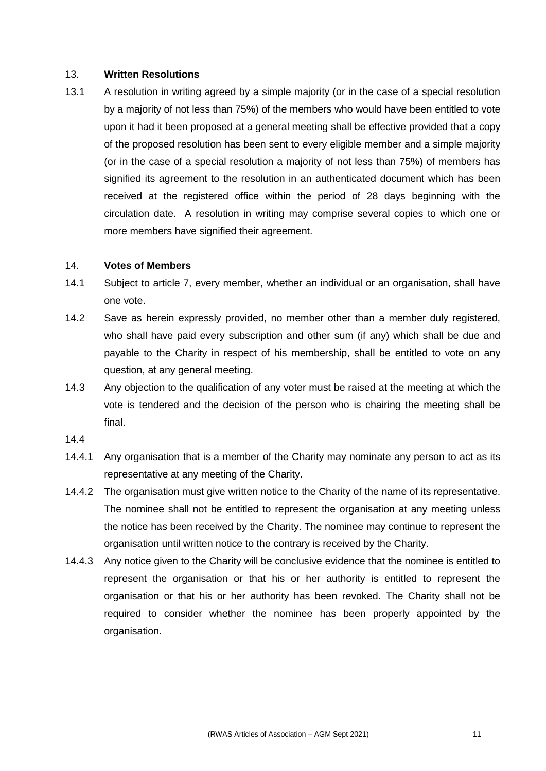#### 13. **Written Resolutions**

13.1 A resolution in writing agreed by a simple majority (or in the case of a special resolution by a majority of not less than 75%) of the members who would have been entitled to vote upon it had it been proposed at a general meeting shall be effective provided that a copy of the proposed resolution has been sent to every eligible member and a simple majority (or in the case of a special resolution a majority of not less than 75%) of members has signified its agreement to the resolution in an authenticated document which has been received at the registered office within the period of 28 days beginning with the circulation date. A resolution in writing may comprise several copies to which one or more members have signified their agreement.

#### 14. **Votes of Members**

- 14.1 Subject to article 7, every member, whether an individual or an organisation, shall have one vote.
- 14.2 Save as herein expressly provided, no member other than a member duly registered, who shall have paid every subscription and other sum (if any) which shall be due and payable to the Charity in respect of his membership, shall be entitled to vote on any question, at any general meeting.
- 14.3 Any objection to the qualification of any voter must be raised at the meeting at which the vote is tendered and the decision of the person who is chairing the meeting shall be final.
- 14.4
- 14.4.1 Any organisation that is a member of the Charity may nominate any person to act as its representative at any meeting of the Charity.
- 14.4.2 The organisation must give written notice to the Charity of the name of its representative. The nominee shall not be entitled to represent the organisation at any meeting unless the notice has been received by the Charity. The nominee may continue to represent the organisation until written notice to the contrary is received by the Charity.
- 14.4.3 Any notice given to the Charity will be conclusive evidence that the nominee is entitled to represent the organisation or that his or her authority is entitled to represent the organisation or that his or her authority has been revoked. The Charity shall not be required to consider whether the nominee has been properly appointed by the organisation.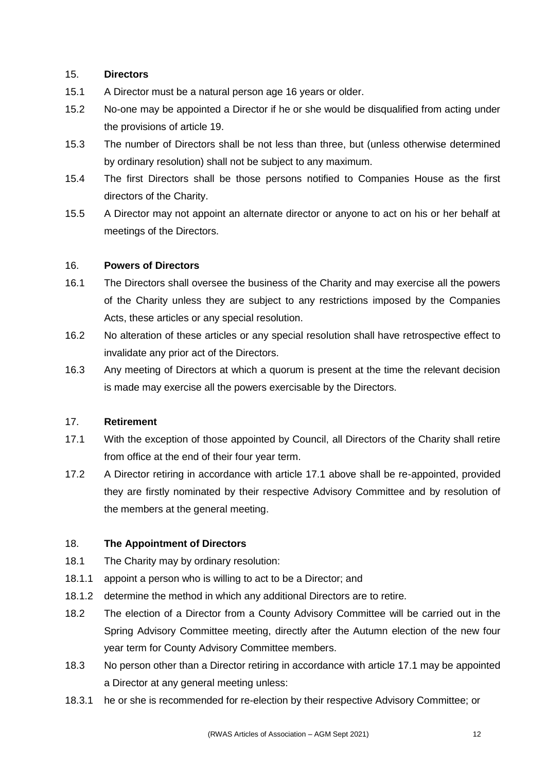## 15. **Directors**

- 15.1 A Director must be a natural person age 16 years or older.
- 15.2 No-one may be appointed a Director if he or she would be disqualified from acting under the provisions of article 19.
- 15.3 The number of Directors shall be not less than three, but (unless otherwise determined by ordinary resolution) shall not be subject to any maximum.
- 15.4 The first Directors shall be those persons notified to Companies House as the first directors of the Charity.
- 15.5 A Director may not appoint an alternate director or anyone to act on his or her behalf at meetings of the Directors.

## 16. **Powers of Directors**

- 16.1 The Directors shall oversee the business of the Charity and may exercise all the powers of the Charity unless they are subject to any restrictions imposed by the Companies Acts, these articles or any special resolution.
- 16.2 No alteration of these articles or any special resolution shall have retrospective effect to invalidate any prior act of the Directors.
- 16.3 Any meeting of Directors at which a quorum is present at the time the relevant decision is made may exercise all the powers exercisable by the Directors.

### 17. **Retirement**

- 17.1 With the exception of those appointed by Council, all Directors of the Charity shall retire from office at the end of their four year term.
- 17.2 A Director retiring in accordance with article 17.1 above shall be re-appointed, provided they are firstly nominated by their respective Advisory Committee and by resolution of the members at the general meeting.

# 18. **The Appointment of Directors**

- 18.1 The Charity may by ordinary resolution:
- 18.1.1 appoint a person who is willing to act to be a Director; and
- 18.1.2 determine the method in which any additional Directors are to retire.
- 18.2 The election of a Director from a County Advisory Committee will be carried out in the Spring Advisory Committee meeting, directly after the Autumn election of the new four year term for County Advisory Committee members.
- 18.3 No person other than a Director retiring in accordance with article 17.1 may be appointed a Director at any general meeting unless:
- 18.3.1 he or she is recommended for re-election by their respective Advisory Committee; or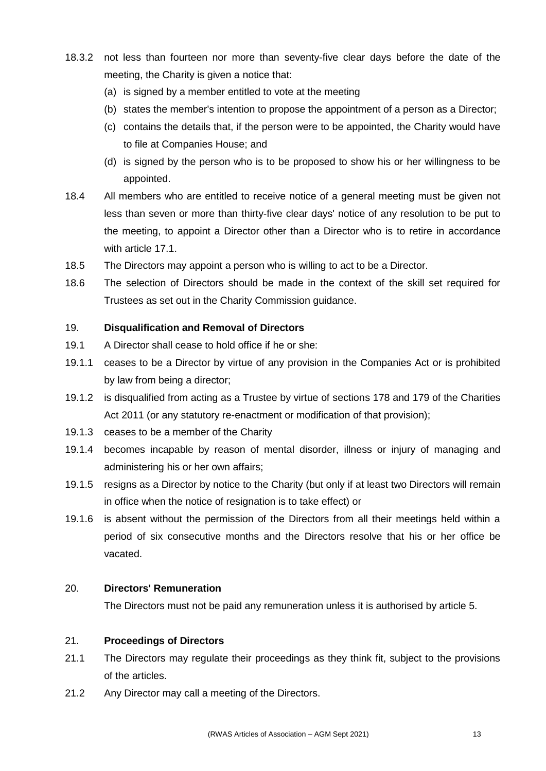- 18.3.2 not less than fourteen nor more than seventy-five clear days before the date of the meeting, the Charity is given a notice that:
	- (a) is signed by a member entitled to vote at the meeting
	- (b) states the member's intention to propose the appointment of a person as a Director;
	- (c) contains the details that, if the person were to be appointed, the Charity would have to file at Companies House; and
	- (d) is signed by the person who is to be proposed to show his or her willingness to be appointed.
- 18.4 All members who are entitled to receive notice of a general meeting must be given not less than seven or more than thirty-five clear days' notice of any resolution to be put to the meeting, to appoint a Director other than a Director who is to retire in accordance with article 17.1.
- 18.5 The Directors may appoint a person who is willing to act to be a Director.
- 18.6 The selection of Directors should be made in the context of the skill set required for Trustees as set out in the Charity Commission guidance.

### 19. **Disqualification and Removal of Directors**

- 19.1 A Director shall cease to hold office if he or she:
- 19.1.1 ceases to be a Director by virtue of any provision in the Companies Act or is prohibited by law from being a director;
- 19.1.2 is disqualified from acting as a Trustee by virtue of sections 178 and 179 of the Charities Act 2011 (or any statutory re-enactment or modification of that provision);
- 19.1.3 ceases to be a member of the Charity
- 19.1.4 becomes incapable by reason of mental disorder, illness or injury of managing and administering his or her own affairs;
- 19.1.5 resigns as a Director by notice to the Charity (but only if at least two Directors will remain in office when the notice of resignation is to take effect) or
- 19.1.6 is absent without the permission of the Directors from all their meetings held within a period of six consecutive months and the Directors resolve that his or her office be vacated.

### 20. **Directors' Remuneration**

The Directors must not be paid any remuneration unless it is authorised by article 5.

### 21. **Proceedings of Directors**

- 21.1 The Directors may regulate their proceedings as they think fit, subject to the provisions of the articles.
- 21.2 Any Director may call a meeting of the Directors.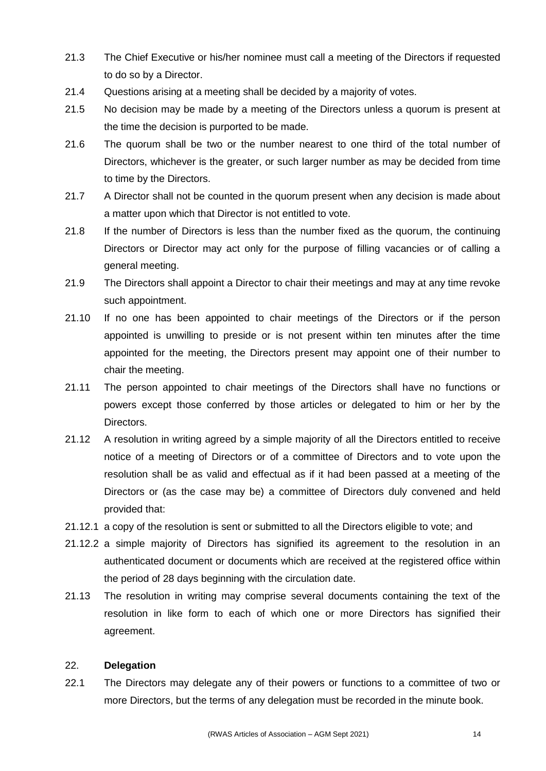- 21.3 The Chief Executive or his/her nominee must call a meeting of the Directors if requested to do so by a Director.
- 21.4 Questions arising at a meeting shall be decided by a majority of votes.
- 21.5 No decision may be made by a meeting of the Directors unless a quorum is present at the time the decision is purported to be made.
- 21.6 The quorum shall be two or the number nearest to one third of the total number of Directors, whichever is the greater, or such larger number as may be decided from time to time by the Directors.
- 21.7 A Director shall not be counted in the quorum present when any decision is made about a matter upon which that Director is not entitled to vote.
- 21.8 If the number of Directors is less than the number fixed as the quorum, the continuing Directors or Director may act only for the purpose of filling vacancies or of calling a general meeting.
- 21.9 The Directors shall appoint a Director to chair their meetings and may at any time revoke such appointment.
- 21.10 If no one has been appointed to chair meetings of the Directors or if the person appointed is unwilling to preside or is not present within ten minutes after the time appointed for the meeting, the Directors present may appoint one of their number to chair the meeting.
- 21.11 The person appointed to chair meetings of the Directors shall have no functions or powers except those conferred by those articles or delegated to him or her by the Directors.
- 21.12 A resolution in writing agreed by a simple majority of all the Directors entitled to receive notice of a meeting of Directors or of a committee of Directors and to vote upon the resolution shall be as valid and effectual as if it had been passed at a meeting of the Directors or (as the case may be) a committee of Directors duly convened and held provided that:
- 21.12.1 a copy of the resolution is sent or submitted to all the Directors eligible to vote; and
- 21.12.2 a simple majority of Directors has signified its agreement to the resolution in an authenticated document or documents which are received at the registered office within the period of 28 days beginning with the circulation date.
- 21.13 The resolution in writing may comprise several documents containing the text of the resolution in like form to each of which one or more Directors has signified their agreement.

### 22. **Delegation**

22.1 The Directors may delegate any of their powers or functions to a committee of two or more Directors, but the terms of any delegation must be recorded in the minute book.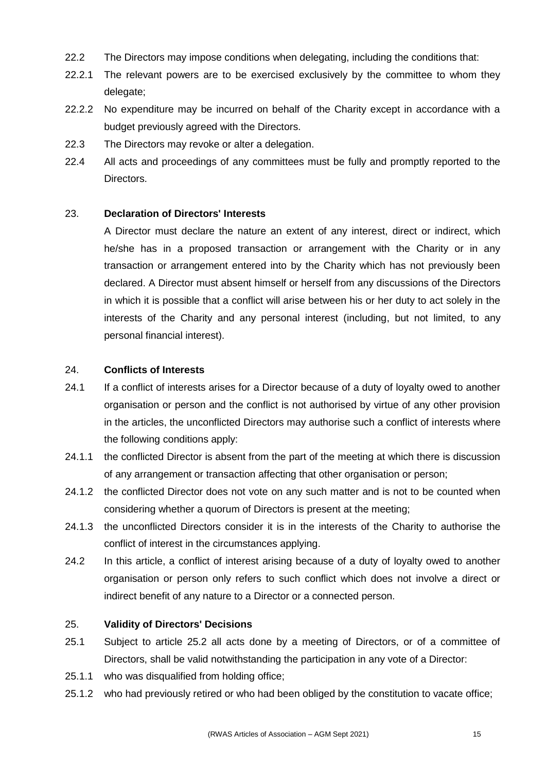- 22.2 The Directors may impose conditions when delegating, including the conditions that:
- 22.2.1 The relevant powers are to be exercised exclusively by the committee to whom they delegate;
- 22.2.2 No expenditure may be incurred on behalf of the Charity except in accordance with a budget previously agreed with the Directors.
- 22.3 The Directors may revoke or alter a delegation.
- 22.4 All acts and proceedings of any committees must be fully and promptly reported to the Directors.

## 23. **Declaration of Directors' Interests**

A Director must declare the nature an extent of any interest, direct or indirect, which he/she has in a proposed transaction or arrangement with the Charity or in any transaction or arrangement entered into by the Charity which has not previously been declared. A Director must absent himself or herself from any discussions of the Directors in which it is possible that a conflict will arise between his or her duty to act solely in the interests of the Charity and any personal interest (including, but not limited, to any personal financial interest).

### 24. **Conflicts of Interests**

- 24.1 If a conflict of interests arises for a Director because of a duty of loyalty owed to another organisation or person and the conflict is not authorised by virtue of any other provision in the articles, the unconflicted Directors may authorise such a conflict of interests where the following conditions apply:
- 24.1.1 the conflicted Director is absent from the part of the meeting at which there is discussion of any arrangement or transaction affecting that other organisation or person;
- 24.1.2 the conflicted Director does not vote on any such matter and is not to be counted when considering whether a quorum of Directors is present at the meeting;
- 24.1.3 the unconflicted Directors consider it is in the interests of the Charity to authorise the conflict of interest in the circumstances applying.
- 24.2 In this article, a conflict of interest arising because of a duty of loyalty owed to another organisation or person only refers to such conflict which does not involve a direct or indirect benefit of any nature to a Director or a connected person.

### 25. **Validity of Directors' Decisions**

- 25.1 Subject to article 25.2 all acts done by a meeting of Directors, or of a committee of Directors, shall be valid notwithstanding the participation in any vote of a Director:
- 25.1.1 who was disqualified from holding office;
- 25.1.2 who had previously retired or who had been obliged by the constitution to vacate office;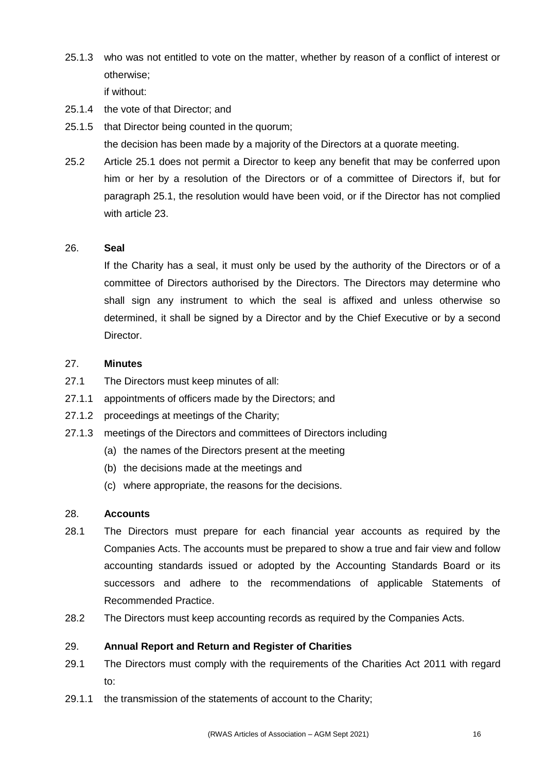25.1.3 who was not entitled to vote on the matter, whether by reason of a conflict of interest or otherwise;

if without:

- 25.1.4 the vote of that Director; and
- 25.1.5 that Director being counted in the quorum; the decision has been made by a majority of the Directors at a quorate meeting.
- 25.2 Article 25.1 does not permit a Director to keep any benefit that may be conferred upon him or her by a resolution of the Directors or of a committee of Directors if, but for paragraph 25.1, the resolution would have been void, or if the Director has not complied with article 23.

#### 26. **Seal**

If the Charity has a seal, it must only be used by the authority of the Directors or of a committee of Directors authorised by the Directors. The Directors may determine who shall sign any instrument to which the seal is affixed and unless otherwise so determined, it shall be signed by a Director and by the Chief Executive or by a second Director.

#### 27. **Minutes**

- 27.1 The Directors must keep minutes of all:
- 27.1.1 appointments of officers made by the Directors; and
- 27.1.2 proceedings at meetings of the Charity;
- 27.1.3 meetings of the Directors and committees of Directors including
	- (a) the names of the Directors present at the meeting
	- (b) the decisions made at the meetings and
	- (c) where appropriate, the reasons for the decisions.

#### 28. **Accounts**

- 28.1 The Directors must prepare for each financial year accounts as required by the Companies Acts. The accounts must be prepared to show a true and fair view and follow accounting standards issued or adopted by the Accounting Standards Board or its successors and adhere to the recommendations of applicable Statements of Recommended Practice.
- 28.2 The Directors must keep accounting records as required by the Companies Acts.

## 29. **Annual Report and Return and Register of Charities**

- 29.1 The Directors must comply with the requirements of the Charities Act 2011 with regard to:
- 29.1.1 the transmission of the statements of account to the Charity;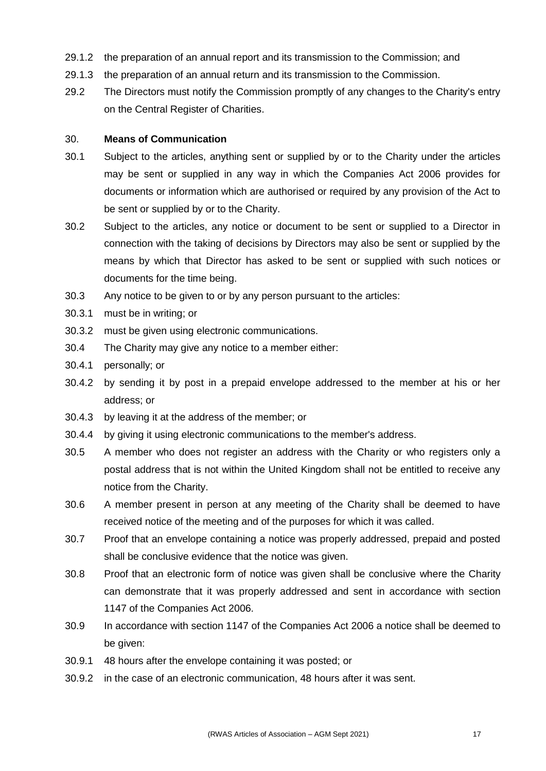- 29.1.2 the preparation of an annual report and its transmission to the Commission; and
- 29.1.3 the preparation of an annual return and its transmission to the Commission.
- 29.2 The Directors must notify the Commission promptly of any changes to the Charity's entry on the Central Register of Charities.

#### 30. **Means of Communication**

- 30.1 Subject to the articles, anything sent or supplied by or to the Charity under the articles may be sent or supplied in any way in which the Companies Act 2006 provides for documents or information which are authorised or required by any provision of the Act to be sent or supplied by or to the Charity.
- 30.2 Subject to the articles, any notice or document to be sent or supplied to a Director in connection with the taking of decisions by Directors may also be sent or supplied by the means by which that Director has asked to be sent or supplied with such notices or documents for the time being.
- 30.3 Any notice to be given to or by any person pursuant to the articles:
- 30.3.1 must be in writing; or
- 30.3.2 must be given using electronic communications.
- 30.4 The Charity may give any notice to a member either:
- 30.4.1 personally; or
- 30.4.2 by sending it by post in a prepaid envelope addressed to the member at his or her address; or
- 30.4.3 by leaving it at the address of the member; or
- 30.4.4 by giving it using electronic communications to the member's address.
- 30.5 A member who does not register an address with the Charity or who registers only a postal address that is not within the United Kingdom shall not be entitled to receive any notice from the Charity.
- 30.6 A member present in person at any meeting of the Charity shall be deemed to have received notice of the meeting and of the purposes for which it was called.
- 30.7 Proof that an envelope containing a notice was properly addressed, prepaid and posted shall be conclusive evidence that the notice was given.
- 30.8 Proof that an electronic form of notice was given shall be conclusive where the Charity can demonstrate that it was properly addressed and sent in accordance with section 1147 of the Companies Act 2006.
- 30.9 In accordance with section 1147 of the Companies Act 2006 a notice shall be deemed to be given:
- 30.9.1 48 hours after the envelope containing it was posted; or
- 30.9.2 in the case of an electronic communication, 48 hours after it was sent.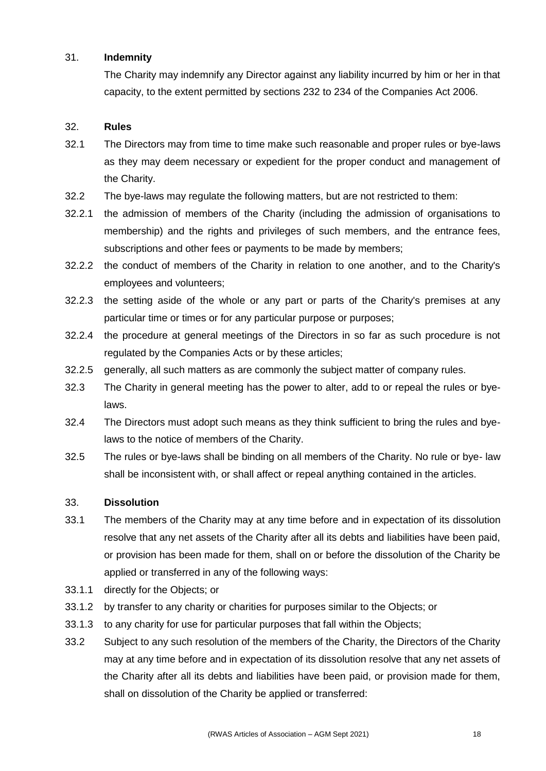### 31. **Indemnity**

The Charity may indemnify any Director against any liability incurred by him or her in that capacity, to the extent permitted by sections 232 to 234 of the Companies Act 2006.

# 32. **Rules**

- 32.1 The Directors may from time to time make such reasonable and proper rules or bye-laws as they may deem necessary or expedient for the proper conduct and management of the Charity.
- 32.2 The bye-laws may regulate the following matters, but are not restricted to them:
- 32.2.1 the admission of members of the Charity (including the admission of organisations to membership) and the rights and privileges of such members, and the entrance fees, subscriptions and other fees or payments to be made by members;
- 32.2.2 the conduct of members of the Charity in relation to one another, and to the Charity's employees and volunteers;
- 32.2.3 the setting aside of the whole or any part or parts of the Charity's premises at any particular time or times or for any particular purpose or purposes:
- 32.2.4 the procedure at general meetings of the Directors in so far as such procedure is not regulated by the Companies Acts or by these articles;
- 32.2.5 generally, all such matters as are commonly the subject matter of company rules.
- 32.3 The Charity in general meeting has the power to alter, add to or repeal the rules or byelaws.
- 32.4 The Directors must adopt such means as they think sufficient to bring the rules and byelaws to the notice of members of the Charity.
- 32.5 The rules or bye-laws shall be binding on all members of the Charity. No rule or bye- law shall be inconsistent with, or shall affect or repeal anything contained in the articles.

### 33. **Dissolution**

- 33.1 The members of the Charity may at any time before and in expectation of its dissolution resolve that any net assets of the Charity after all its debts and liabilities have been paid, or provision has been made for them, shall on or before the dissolution of the Charity be applied or transferred in any of the following ways:
- 33.1.1 directly for the Objects; or
- 33.1.2 by transfer to any charity or charities for purposes similar to the Objects; or
- 33.1.3 to any charity for use for particular purposes that fall within the Objects;
- 33.2 Subject to any such resolution of the members of the Charity, the Directors of the Charity may at any time before and in expectation of its dissolution resolve that any net assets of the Charity after all its debts and liabilities have been paid, or provision made for them, shall on dissolution of the Charity be applied or transferred: